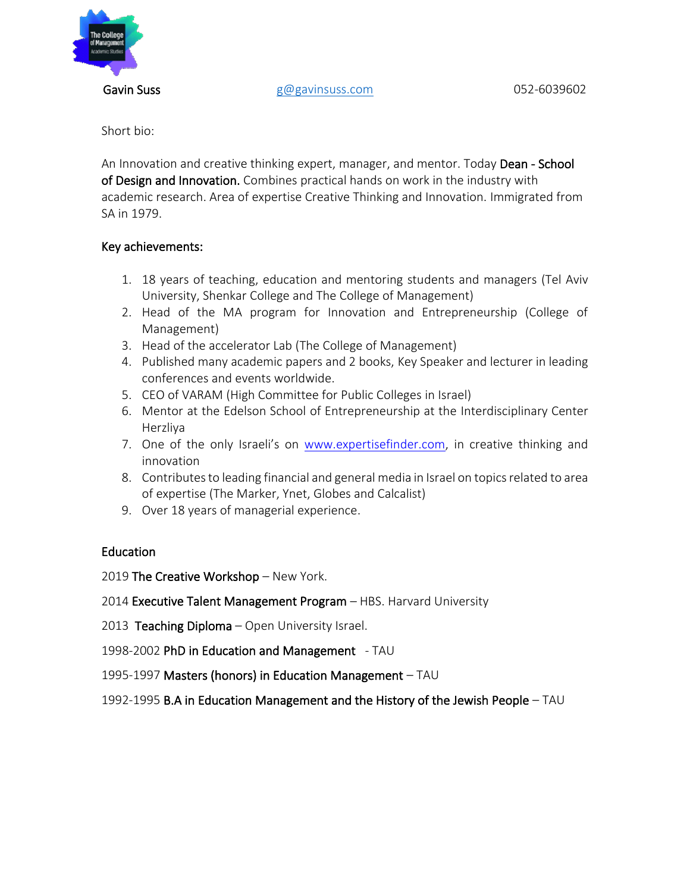

Gavin Suss and the subset of the subset of the gas services come to the contract of the contract of the gas of the gas of the gas of the gas of the gas of the gas of the gas of the gas of the gas of the gas of the gas of t

Short bio:

An Innovation and creative thinking expert, manager, and mentor. Today Dean - School of Design and Innovation. Combines practical hands on work in the industry with academic research. Area of expertise Creative Thinking and Innovation. Immigrated from SA in 1979.

## Key achievements:

- 1. 18 years of teaching, education and mentoring students and managers (Tel Aviv University, Shenkar College and The College of Management)
- 2. Head of the MA program for Innovation and Entrepreneurship (College of Management)
- 3. Head of the accelerator Lab (The College of Management)
- 4. Published many academic papers and 2 books, Key Speaker and lecturer in leading conferences and events worldwide.
- 5. CEO of VARAM (High Committee for Public Colleges in Israel)
- 6. Mentor at the Edelson School of Entrepreneurship at the Interdisciplinary Center Herzliya
- 7. One of the only Israeli's on [www.expertisefinder.com,](http://www.expertisefinder.com/) in creative thinking and innovation
- 8. Contributes to leading financial and general media in Israel on topics related to area of expertise (The Marker, Ynet, Globes and Calcalist)
- 9. Over 18 years of managerial experience.

## **Education**

2019 The Creative Workshop – New York.

- 2014 Executive Talent Management Program HBS. Harvard University
- 2013 Teaching Diploma Open University Israel.
- 1998-2002 PhD in Education and Management TAU
- 1995-1997 Masters (honors) in Education Management TAU
- 1992-1995 B.A in Education Management and the History of the Jewish People TAU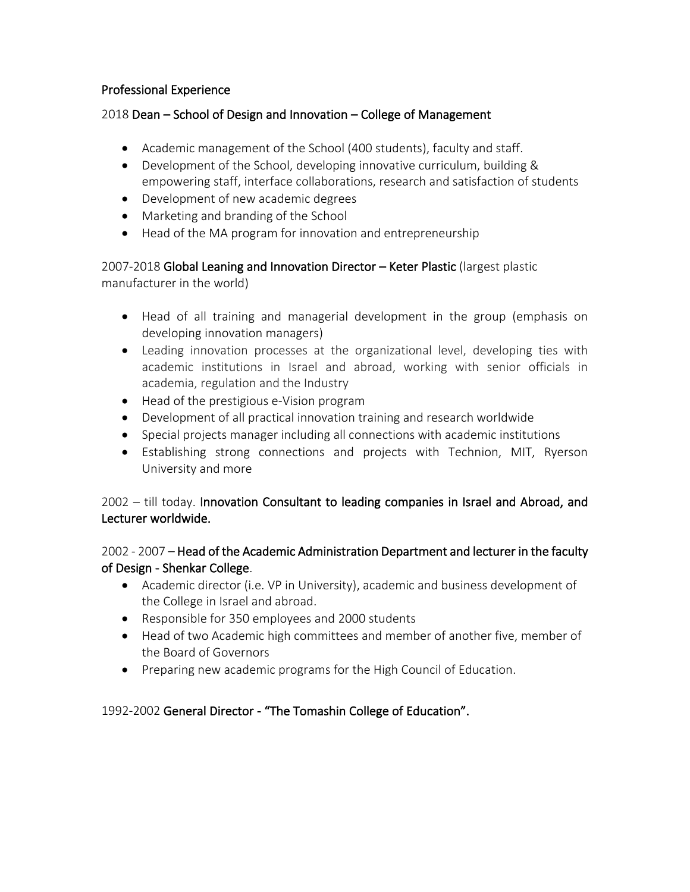## Professional Experience

## 2018 Dean – School of Design and Innovation – College of Management

- Academic management of the School (400 students), faculty and staff.
- Development of the School, developing innovative curriculum, building & empowering staff, interface collaborations, research and satisfaction of students
- Development of new academic degrees
- Marketing and branding of the School
- Head of the MA program for innovation and entrepreneurship

2007-2018 Global Leaning and Innovation Director – Keter Plastic (largest plastic manufacturer in the world)

- Head of all training and managerial development in the group (emphasis on developing innovation managers)
- Leading innovation processes at the organizational level, developing ties with academic institutions in Israel and abroad, working with senior officials in academia, regulation and the Industry
- Head of the prestigious e-Vision program
- Development of all practical innovation training and research worldwide
- Special projects manager including all connections with academic institutions
- Establishing strong connections and projects with Technion, MIT, Ryerson University and more

## 2002 – till today. Innovation Consultant to leading companies in Israel and Abroad, and Lecturer worldwide.

## 2002 - 2007 – Head of the Academic Administration Department and lecturer in the faculty of Design - Shenkar College.

- Academic director (i.e. VP in University), academic and business development of the College in Israel and abroad.
- Responsible for 350 employees and 2000 students
- Head of two Academic high committees and member of another five, member of the Board of Governors
- Preparing new academic programs for the High Council of Education.

## 1992-2002 General Director - "The Tomashin College of Education".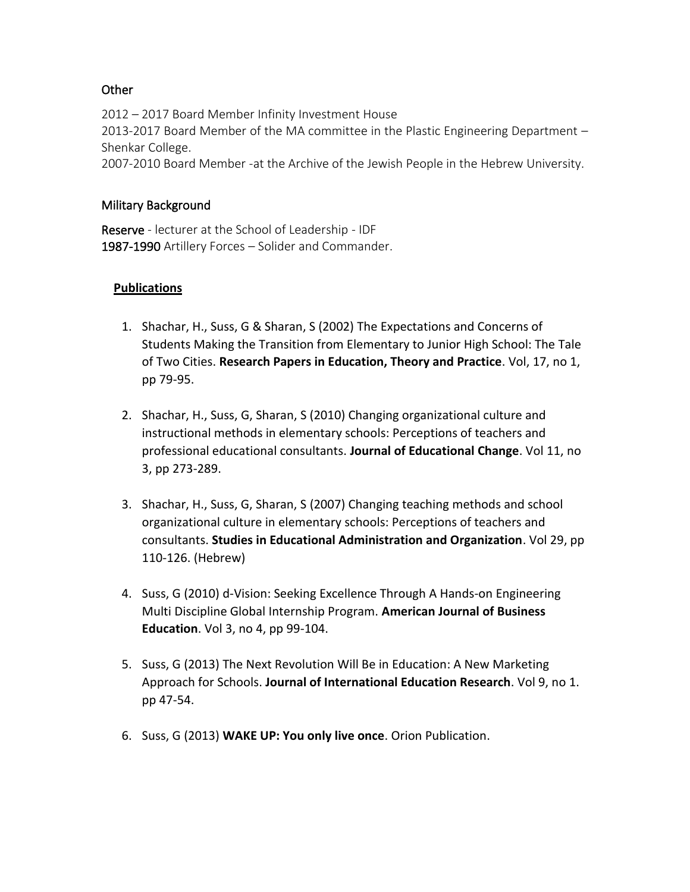## **Other**

2012 – 2017 Board Member Infinity Investment House 2013-2017 Board Member of the MA committee in the Plastic Engineering Department – Shenkar College.

2007-2010 Board Member -at the Archive of the Jewish People in the Hebrew University.

## Military Background

Reserve - lecturer at the School of Leadership - IDF 1987-1990 Artillery Forces – Solider and Commander.

## **Publications**

- 1. Shachar, H., Suss, G & Sharan, S (2002) The Expectations and Concerns of Students Making the Transition from Elementary to Junior High School: The Tale of Two Cities. **Research Papers in Education, Theory and Practice**. Vol, 17, no 1, pp 79-95.
- 2. Shachar, H., Suss, G, Sharan, S (2010) Changing organizational culture and instructional methods in elementary schools: Perceptions of teachers and professional educational consultants. **Journal of Educational Change**. Vol 11, no 3, pp 273-289.
- 3. Shachar, H., Suss, G, Sharan, S (2007) Changing teaching methods and school organizational culture in elementary schools: Perceptions of teachers and consultants. **Studies in Educational Administration and Organization**. Vol 29, pp 110-126. (Hebrew)
- 4. Suss, G (2010) d-Vision: Seeking Excellence Through A Hands-on Engineering Multi Discipline Global Internship Program. **American Journal of Business Education**. Vol 3, no 4, pp 99-104.
- 5. Suss, G (2013) The Next Revolution Will Be in Education: A New Marketing Approach for Schools. **Journal of International Education Research**. Vol 9, no 1. pp 47-54.
- 6. Suss, G (2013) **WAKE UP: You only live once**. Orion Publication.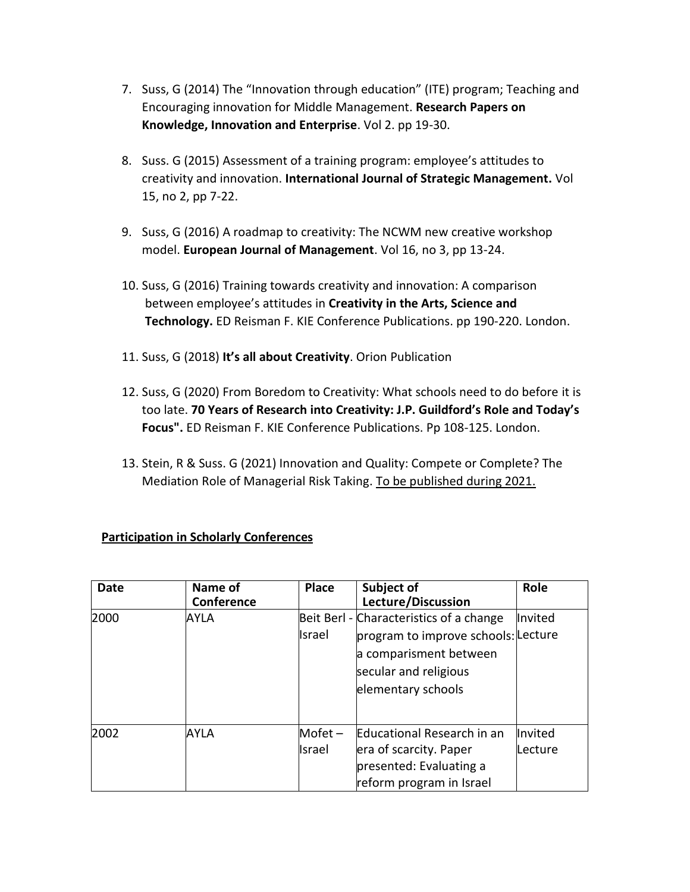- 7. Suss, G (2014) The "Innovation through education" (ITE) program; Teaching and Encouraging innovation for Middle Management. **Research Papers on Knowledge, Innovation and Enterprise**. Vol 2. pp 19-30.
- 8. Suss. G (2015) Assessment of a training program: employee's attitudes to creativity and innovation. **International Journal of Strategic Management.** Vol 15, no 2, pp 7-22.
- 9. Suss, G (2016) A roadmap to creativity: The NCWM new creative workshop model. **European Journal of Management**. Vol 16, no 3, pp 13-24.
- 10. Suss, G (2016) Training towards creativity and innovation: A comparison between employee's attitudes in **Creativity in the Arts, Science and Technology.** ED Reisman F. KIE Conference Publications. pp 190-220. London.
- 11. Suss, G (2018) **It's all about Creativity**. Orion Publication
- 12. Suss, G (2020) From Boredom to Creativity: What schools need to do before it is too late. **70 Years of Research into Creativity: J.P. Guildford's Role and Today's Focus".** ED Reisman F. KIE Conference Publications. Pp 108-125. London.
- 13. Stein, R & Suss. G (2021) Innovation and Quality: Compete or Complete? The Mediation Role of Managerial Risk Taking. To be published during 2021.

## **Participation in Scholarly Conferences**

| <b>Date</b> | Name of<br>Conference | <b>Place</b>        | Subject of<br>Lecture/Discussion                                                                                                                        | Role                |
|-------------|-----------------------|---------------------|---------------------------------------------------------------------------------------------------------------------------------------------------------|---------------------|
| 2000        | AYLA                  | Israel              | Beit Berl - Characteristics of a change<br>program to improve schools: Lecture<br>a comparisment between<br>secular and religious<br>elementary schools | Invited             |
| 2002        | AYLA                  | $Mofet -$<br>Israel | Educational Research in an<br>era of scarcity. Paper<br>presented: Evaluating a<br>reform program in Israel                                             | Invited<br>lLecture |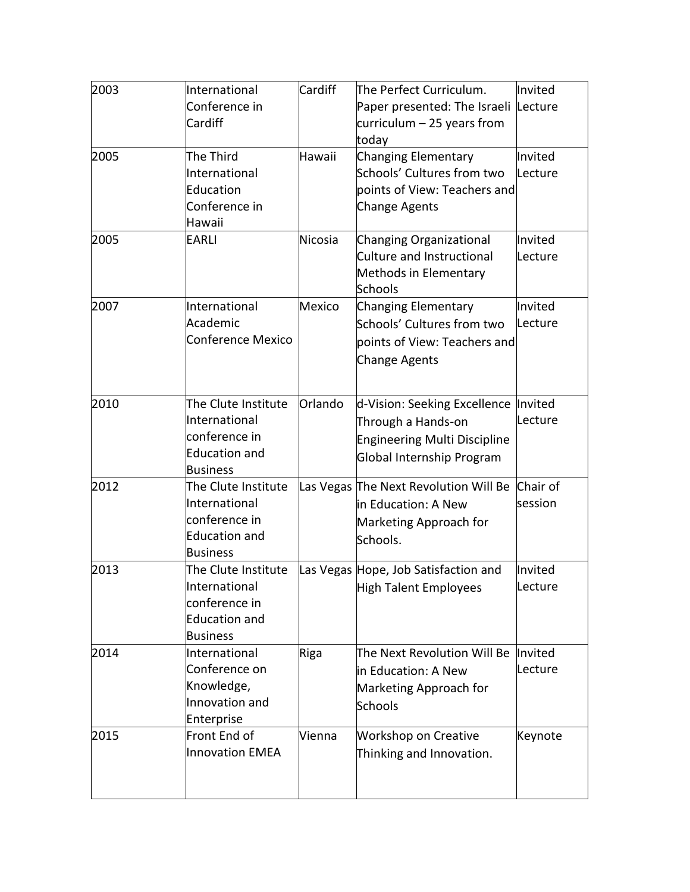| 2003 | International                | Cardiff | The Perfect Curriculum.               | Invited  |
|------|------------------------------|---------|---------------------------------------|----------|
|      | Conference in                |         | Paper presented: The Israeli Lecture  |          |
|      | Cardiff                      |         | curriculum $-$ 25 years from          |          |
|      |                              |         | today                                 |          |
| 2005 | The Third                    | Hawaii  | <b>Changing Elementary</b>            | Invited  |
|      | International                |         | Schools' Cultures from two            | Lecture  |
|      | Education                    |         | points of View: Teachers and          |          |
|      | Conference in                |         | <b>Change Agents</b>                  |          |
|      | Hawaii                       |         |                                       |          |
| 2005 | <b>EARLI</b>                 | Nicosia | Changing Organizational               | Invited  |
|      |                              |         | Culture and Instructional             | Lecture  |
|      |                              |         | Methods in Elementary                 |          |
|      |                              |         | Schools                               |          |
| 2007 | International                | Mexico  | Changing Elementary                   | Invited  |
|      | Academic                     |         | Schools' Cultures from two            | Lecture  |
|      | Conference Mexico            |         | points of View: Teachers and          |          |
|      |                              |         | Change Agents                         |          |
|      |                              |         |                                       |          |
| 2010 | The Clute Institute          | Orlando | d-Vision: Seeking Excellence  Invited |          |
|      | International                |         | Through a Hands-on                    | Lecture  |
|      | conference in                |         | <b>Engineering Multi Discipline</b>   |          |
|      | <b>Education and</b>         |         | Global Internship Program             |          |
|      | <b>Business</b>              |         |                                       |          |
| 2012 | The Clute Institute          |         | Las Vegas The Next Revolution Will Be | Chair of |
|      | International                |         | in Education: A New                   | session  |
|      | conference in                |         | Marketing Approach for                |          |
|      | <b>Education and</b>         |         | Schools.                              |          |
|      | <b>Business</b>              |         |                                       |          |
| 2013 | The Clute Institute          |         | Las Vegas Hope, Job Satisfaction and  | Invited  |
|      | International                |         | High Talent Employees                 | Lecture  |
|      | conference in                |         |                                       |          |
|      | <b>Education and</b>         |         |                                       |          |
|      | <b>Business</b>              |         |                                       |          |
| 2014 | International                | Riga    | The Next Revolution Will Be           | Invited  |
|      | Conference on                |         | in Education: A New                   | Lecture  |
|      | Knowledge,<br>Innovation and |         | Marketing Approach for                |          |
|      | Enterprise                   |         | <b>Schools</b>                        |          |
| 2015 | Front End of                 | Vienna  | <b>Workshop on Creative</b>           | Keynote  |
|      | Innovation EMEA              |         | Thinking and Innovation.              |          |
|      |                              |         |                                       |          |
|      |                              |         |                                       |          |
|      |                              |         |                                       |          |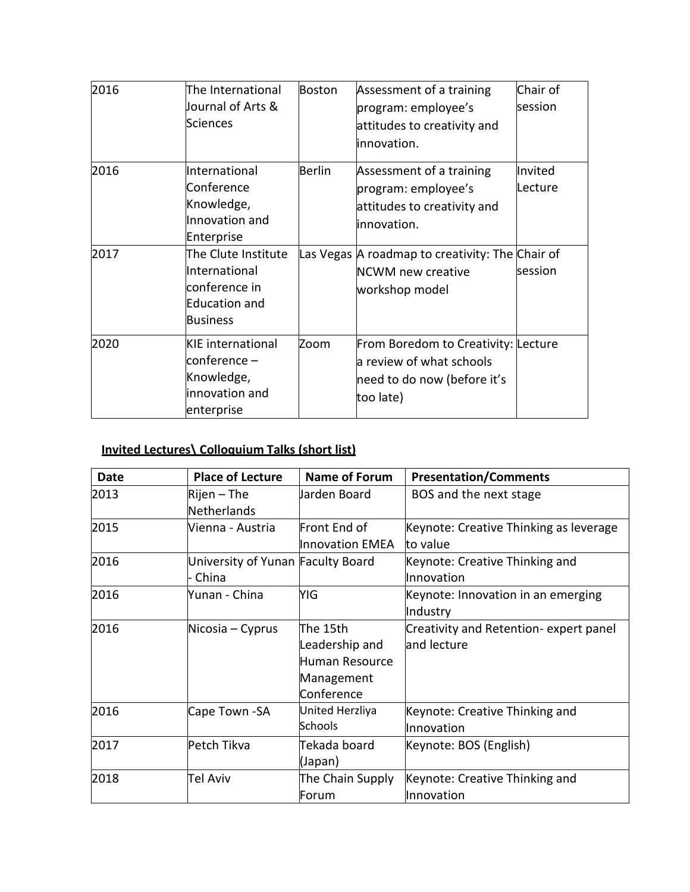| 2016 | The International<br>Journal of Arts &<br>Sciences                                        | Boston | Assessment of a training<br>program: employee's<br>attitudes to creativity and<br>innovation.               | Chair of<br>session |
|------|-------------------------------------------------------------------------------------------|--------|-------------------------------------------------------------------------------------------------------------|---------------------|
| 2016 | International<br>Conference<br>Knowledge,<br>Innovation and<br><b>Enterprise</b>          | Berlin | Assessment of a training<br>program: employee's<br>attitudes to creativity and<br>innovation.               | Invited<br>Lecture  |
| 2017 | The Clute Institute<br>International<br>conference in<br><b>Education and</b><br>Business |        | Las Vegas A roadmap to creativity: The Chair of<br>NCWM new creative<br>workshop model                      | session             |
| 2020 | <b>KIE</b> international<br> conference –<br>Knowledge,<br>innovation and<br>enterprise   | Zoom   | From Boredom to Creativity: Lecture<br>a review of what schools<br>need to do now (before it's<br>too late) |                     |

# **Invited Lectures\ Colloquium Talks (short list)**

| Date | <b>Place of Lecture</b>           | Name of Forum              | <b>Presentation/Comments</b>           |
|------|-----------------------------------|----------------------------|----------------------------------------|
| 2013 | Rijen – The                       | Jarden Board               | BOS and the next stage                 |
|      | Netherlands                       |                            |                                        |
| 2015 | Vienna - Austria                  | Front End of               | Keynote: Creative Thinking as leverage |
|      |                                   | Innovation EMEA            | to value                               |
| 2016 | University of Yunan Faculty Board |                            | Keynote: Creative Thinking and         |
|      | China                             |                            | Innovation                             |
| 2016 | Yunan - China                     | YIG                        | Keynote: Innovation in an emerging     |
|      |                                   |                            | Industry                               |
| 2016 | Nicosia – Cyprus                  | The 15th                   | Creativity and Retention- expert panel |
|      |                                   | Leadership and             | land lecture                           |
|      |                                   | Human Resource             |                                        |
|      |                                   | Management                 |                                        |
|      |                                   | Conference                 |                                        |
| 2016 | Cape Town -SA                     | United Herzliya<br>Schools | Keynote: Creative Thinking and         |
|      |                                   |                            | Innovation                             |
| 2017 | Petch Tikva                       | Tekada board               | Keynote: BOS (English)                 |
|      |                                   | (Japan)                    |                                        |
| 2018 | Tel Aviv                          | The Chain Supply           | Keynote: Creative Thinking and         |
|      |                                   | Forum                      | Innovation                             |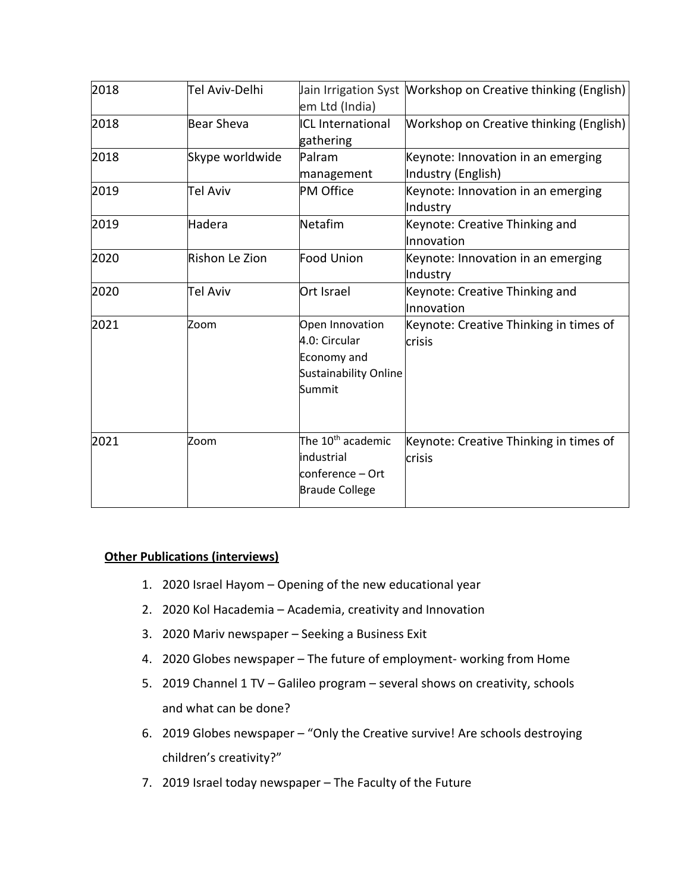| 2018 | Tel Aviv-Delhi    | em Ltd (India)                                                                            | Jain Irrigation Syst Morkshop on Creative thinking (English) |
|------|-------------------|-------------------------------------------------------------------------------------------|--------------------------------------------------------------|
| 2018 | <b>Bear Sheva</b> | <b>ICL International</b><br>gathering                                                     | Workshop on Creative thinking (English)                      |
| 2018 | Skype worldwide   | Palram<br>management                                                                      | Keynote: Innovation in an emerging<br>Industry (English)     |
| 2019 | Tel Aviv          | <b>PM Office</b>                                                                          | Keynote: Innovation in an emerging<br>Industry               |
| 2019 | Hadera            | Netafim                                                                                   | Keynote: Creative Thinking and<br>Innovation                 |
| 2020 | Rishon Le Zion    | <b>Food Union</b>                                                                         | Keynote: Innovation in an emerging<br>Industry               |
| 2020 | Tel Aviv          | Ort Israel                                                                                | Keynote: Creative Thinking and<br>Innovation                 |
| 2021 | Zoom              | Open Innovation<br>4.0: Circular<br>Economy and<br><b>Sustainability Online</b><br>Summit | Keynote: Creative Thinking in times of<br>crisis             |
| 2021 | Zoom              | The 10 <sup>th</sup> academic<br>industrial<br>conference – Ort<br><b>Braude College</b>  | Keynote: Creative Thinking in times of<br>crisis             |

## **Other Publications (interviews)**

- 1. 2020 Israel Hayom Opening of the new educational year
- 2. 2020 Kol Hacademia Academia, creativity and Innovation
- 3. 2020 Mariv newspaper Seeking a Business Exit
- 4. 2020 Globes newspaper The future of employment- working from Home
- 5. 2019 Channel 1 TV Galileo program several shows on creativity, schools and what can be done?
- 6. 2019 Globes newspaper "Only the Creative survive! Are schools destroying children's creativity?"
- 7. 2019 Israel today newspaper The Faculty of the Future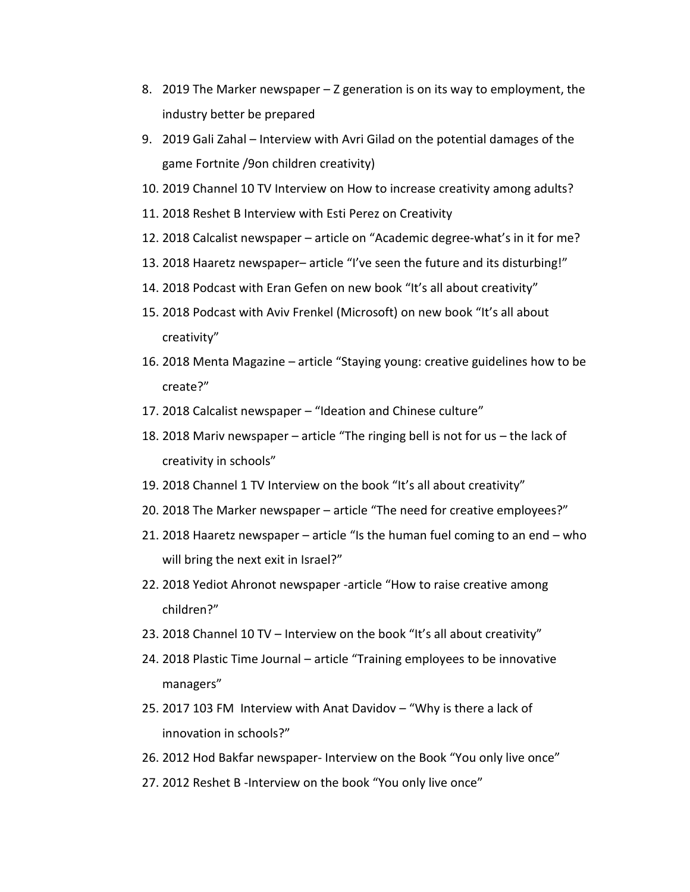- 8. 2019 The Marker newspaper Z generation is on its way to employment, the industry better be prepared
- 9. 2019 Gali Zahal Interview with Avri Gilad on the potential damages of the game Fortnite /9on children creativity)
- 10. 2019 Channel 10 TV Interview on How to increase creativity among adults?
- 11. 2018 Reshet B Interview with Esti Perez on Creativity
- 12. 2018 Calcalist newspaper article on "Academic degree-what's in it for me?
- 13. 2018 Haaretz newspaper– article "I've seen the future and its disturbing!"
- 14. 2018 Podcast with Eran Gefen on new book "It's all about creativity"
- 15. 2018 Podcast with Aviv Frenkel (Microsoft) on new book "It's all about creativity"
- 16. 2018 Menta Magazine article "Staying young: creative guidelines how to be create?"
- 17. 2018 Calcalist newspaper "Ideation and Chinese culture"
- 18. 2018 Mariv newspaper article "The ringing bell is not for us the lack of creativity in schools"
- 19. 2018 Channel 1 TV Interview on the book "It's all about creativity"
- 20. 2018 The Marker newspaper article "The need for creative employees?"
- 21. 2018 Haaretz newspaper article "Is the human fuel coming to an end who will bring the next exit in Israel?"
- 22. 2018 Yediot Ahronot newspaper -article "How to raise creative among children?"
- 23. 2018 Channel 10 TV Interview on the book "It's all about creativity"
- 24. 2018 Plastic Time Journal article "Training employees to be innovative managers"
- 25. 2017 103 FM Interview with Anat Davidov "Why is there a lack of innovation in schools?"
- 26. 2012 Hod Bakfar newspaper- Interview on the Book "You only live once"
- 27. 2012 Reshet B -Interview on the book "You only live once"